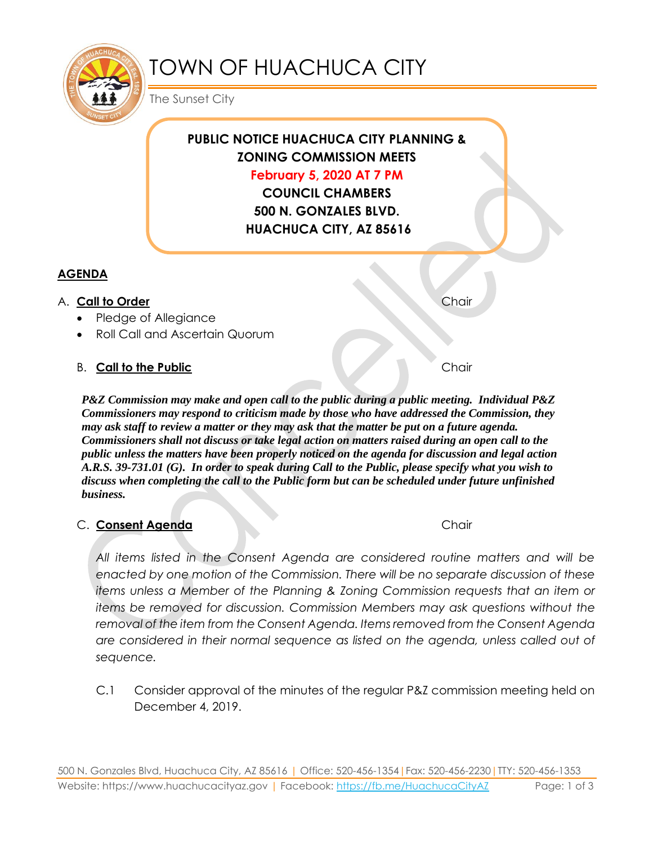

# TOWN OF HUACHUCA CITY

The Sunset City

# **PUBLIC NOTICE HUACHUCA CITY PLANNING & ZONING COMMISSION MEETS February 5, 2020 AT 7 PM**

**COUNCIL CHAMBERS 500 N. GONZALES BLVD. HUACHUCA CITY, AZ 85616**

# **AGENDA**

## A. **Call to Order** Chair **Chair** Chair **Chair**

- Pledge of Allegiance
- Roll Call and Ascertain Quorum

# B. **Call to the Public** Chair

*P&Z Commission may make and open call to the public during a public meeting. Individual P&Z Commissioners may respond to criticism made by those who have addressed the Commission, they may ask staff to review a matter or they may ask that the matter be put on a future agenda. Commissioners shall not discuss or take legal action on matters raised during an open call to the public unless the matters have been properly noticed on the agenda for discussion and legal action A.R.S. 39-731.01 (G). In order to speak during Call to the Public, please specify what you wish to discuss when completing the call to the Public form but can be scheduled under future unfinished business.*

## C. **Consent Agenda** Chair

*All items listed in the Consent Agenda are considered routine matters and will be enacted by one motion of the Commission. There will be no separate discussion of these items unless a Member of the Planning & Zoning Commission requests that an item or items be removed for discussion. Commission Members may ask questions without the removal of the item from the Consent Agenda. Items removed from the Consent Agenda are considered in their normal sequence as listed on the agenda, unless called out of sequence.*

C.1 Consider approval of the minutes of the regular P&Z commission meeting held on December 4, 2019.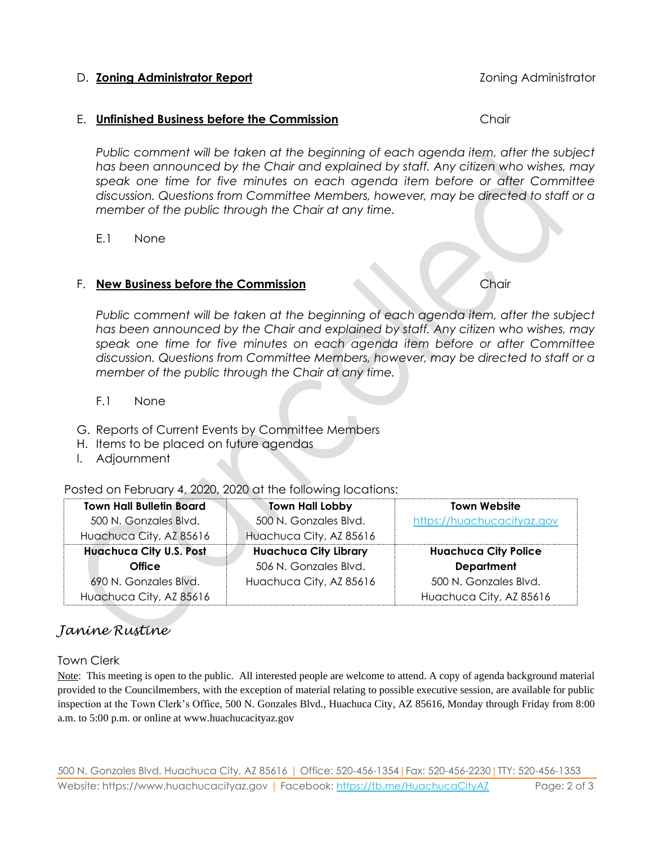#### D. **Zoning Administrator Report** Zoning Administrator

#### E. **Unfinished Business before the Commission** Chair

*Public comment will be taken at the beginning of each agenda item, after the subject has been announced by the Chair and explained by staff. Any citizen who wishes, may speak one time for five minutes on each agenda item before or after Committee discussion. Questions from Committee Members, however, may be directed to staff or a member of the public through the Chair at any time.*

E.1 None

#### F. **New Business before the Commission** Chair

*Public comment will be taken at the beginning of each agenda item, after the subject has been announced by the Chair and explained by staff. Any citizen who wishes, may speak one time for five minutes on each agenda item before or after Committee discussion. Questions from Committee Members, however, may be directed to staff or a member of the public through the Chair at any time.*

#### F.1 None

- G. Reports of Current Events by Committee Members
- H. Items to be placed on future agendas
- I. Adjournment

Posted on February 4, 2020, 2020 at the following locations:

| <b>Town Hall Bulletin Board</b> | Town Hall Lobby              | <b>Town Website</b>         |
|---------------------------------|------------------------------|-----------------------------|
| 500 N. Gonzales Blvd.           | 500 N. Gonzales Blvd.        | https://huachucacityaz.gov  |
| Huachuca City, AZ 85616         | Huachuca City, AZ 85616      |                             |
| <b>Huachuca City U.S. Post</b>  | <b>Huachuca City Library</b> | <b>Huachuca City Police</b> |
| <b>Office</b>                   | 506 N. Gonzales Blvd.        | <b>Department</b>           |
| 690 N. Gonzales Blvd.           | Huachuca City, AZ 85616      | 500 N. Gonzales Blvd.       |
| Huachuca City, AZ 85616         |                              | Huachuca City, AZ 85616     |

# *Janine Rustine*

Town Clerk

Note: This meeting is open to the public. All interested people are welcome to attend. A copy of agenda background material provided to the Councilmembers, with the exception of material relating to possible executive session, are available for public inspection at the Town Clerk's Office, 500 N. Gonzales Blvd., Huachuca City, AZ 85616, Monday through Friday from 8:00 a.m. to 5:00 p.m. or online at www.huachucacityaz.gov